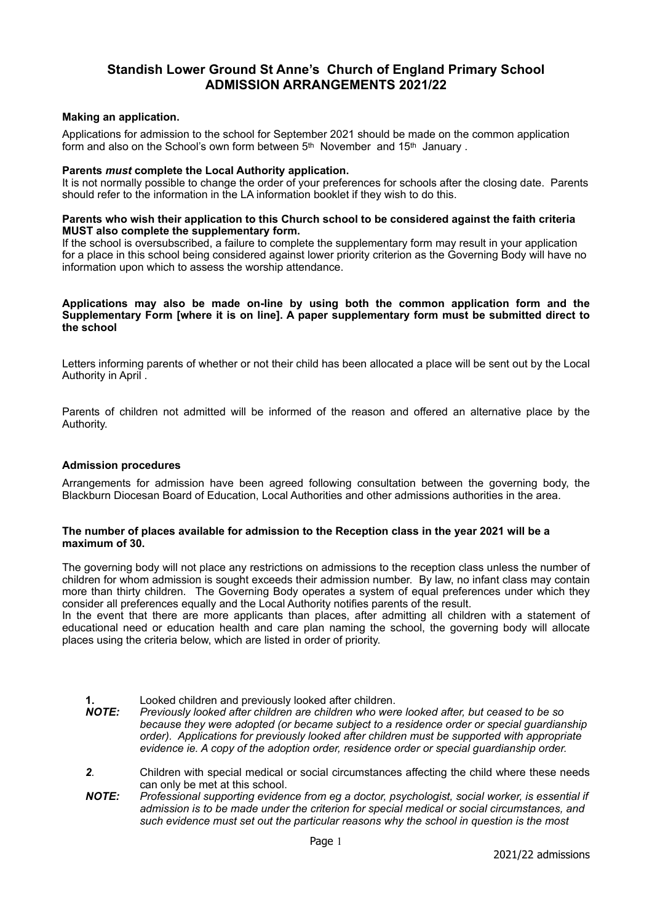# **Standish Lower Ground St Anne's Church of England Primary School ADMISSION ARRANGEMENTS 2021/22**

#### **Making an application.**

Applications for admission to the school for September 2021 should be made on the common application form and also on the School's own form between 5<sup>th</sup> November and 15<sup>th</sup> January.

#### **Parents** *must* **complete the Local Authority application.**

It is not normally possible to change the order of your preferences for schools after the closing date. Parents should refer to the information in the LA information booklet if they wish to do this.

#### **Parents who wish their application to this Church school to be considered against the faith criteria MUST also complete the supplementary form.**

If the school is oversubscribed, a failure to complete the supplementary form may result in your application for a place in this school being considered against lower priority criterion as the Governing Body will have no information upon which to assess the worship attendance.

#### **Applications may also be made on-line by using both the common application form and the Supplementary Form [where it is on line]. A paper supplementary form must be submitted direct to the school**

Letters informing parents of whether or not their child has been allocated a place will be sent out by the Local Authority in April .

Parents of children not admitted will be informed of the reason and offered an alternative place by the Authority.

#### **Admission procedures**

Arrangements for admission have been agreed following consultation between the governing body, the Blackburn Diocesan Board of Education, Local Authorities and other admissions authorities in the area.

#### **The number of places available for admission to the Reception class in the year 2021 will be a maximum of 30.**

The governing body will not place any restrictions on admissions to the reception class unless the number of children for whom admission is sought exceeds their admission number. By law, no infant class may contain more than thirty children. The Governing Body operates a system of equal preferences under which they consider all preferences equally and the Local Authority notifies parents of the result.

In the event that there are more applicants than places, after admitting all children with a statement of educational need or education health and care plan naming the school, the governing body will allocate places using the criteria below, which are listed in order of priority.

## **1. Looked children and previously looked after children.**<br>**NOTE:** Previously looked after children are children who were *Previously looked after children are children who were looked after, but ceased to be so because they were adopted (or became subject to a residence order or special guardianship order). Applications for previously looked after children must be supported with appropriate evidence ie. A copy of the adoption order, residence order or special guardianship order. 2.* Children with special medical or social circumstances affecting the child where these needs can only be met at this school. *NOTE: Professional supporting evidence from eg a doctor, psychologist, social worker, is essential if*

*admission is to be made under the criterion for special medical or social circumstances, and such evidence must set out the particular reasons why the school in question is the most*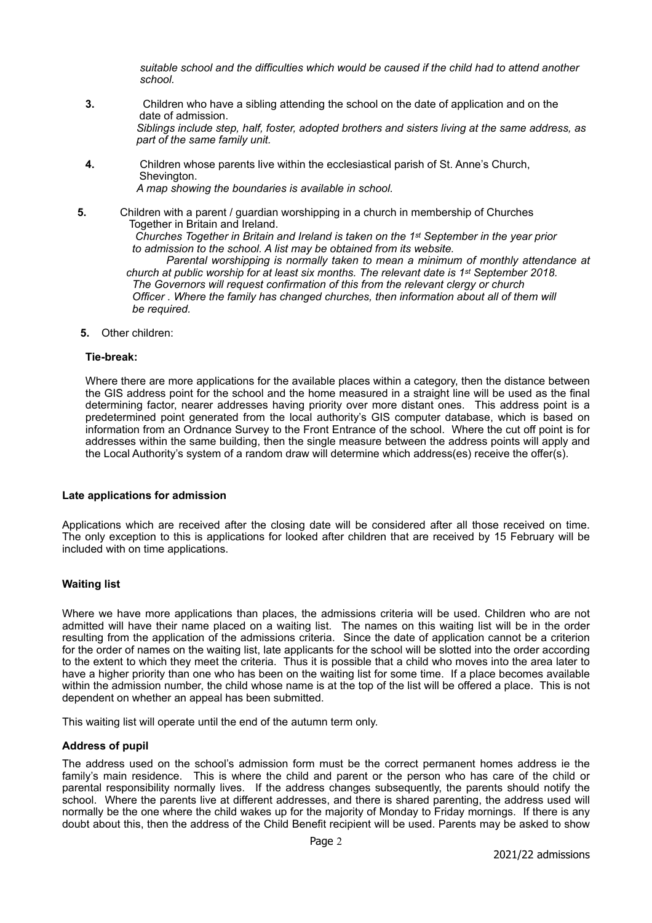*suitable school and the difficulties which would be caused if the child had to attend another school.* 

- **3.**Children who have a sibling attending the school on the date of application and on the date of admission. *Siblings include step, half, foster, adopted brothers and sisters living at the same address, as part of the same family unit.*
- **4.**Children whose parents live within the ecclesiastical parish of St. Anne's Church, Shevington. *A map showing the boundaries is available in school.*
- **5.**Children with a parent / guardian worshipping in a church in membership of Churches **Together in Britain and Ireland.**  *Churches Together in Britain and Ireland is taken on the 1st September in the year prior to admission to the school. A list may be obtained from its website. Parental worshipping is normally taken to mean a minimum of monthly attendance at church at public worship for at least six months. The relevant date is 1st September 2018. The Governors will request confirmation of this from the relevant clergy or church Officer . Where the family has changed churches, then information about all of them will be required.*   **5.** Other children:
- 

## **Tie-break:**

Where there are more applications for the available places within a category, then the distance between the GIS address point for the school and the home measured in a straight line will be used as the final determining factor, nearer addresses having priority over more distant ones. This address point is a predetermined point generated from the local authority's GIS computer database, which is based on information from an Ordnance Survey to the Front Entrance of the school. Where the cut off point is for addresses within the same building, then the single measure between the address points will apply and the Local Authority's system of a random draw will determine which address(es) receive the offer(s).

#### **Late applications for admission**

Applications which are received after the closing date will be considered after all those received on time. The only exception to this is applications for looked after children that are received by 15 February will be included with on time applications.

## **Waiting list**

Where we have more applications than places, the admissions criteria will be used. Children who are not admitted will have their name placed on a waiting list. The names on this waiting list will be in the order resulting from the application of the admissions criteria. Since the date of application cannot be a criterion for the order of names on the waiting list, late applicants for the school will be slotted into the order according to the extent to which they meet the criteria. Thus it is possible that a child who moves into the area later to have a higher priority than one who has been on the waiting list for some time. If a place becomes available within the admission number, the child whose name is at the top of the list will be offered a place. This is not dependent on whether an appeal has been submitted.

This waiting list will operate until the end of the autumn term only.

## **Address of pupil**

The address used on the school's admission form must be the correct permanent homes address ie the family's main residence. This is where the child and parent or the person who has care of the child or parental responsibility normally lives. If the address changes subsequently, the parents should notify the school. Where the parents live at different addresses, and there is shared parenting, the address used will normally be the one where the child wakes up for the majority of Monday to Friday mornings. If there is any doubt about this, then the address of the Child Benefit recipient will be used. Parents may be asked to show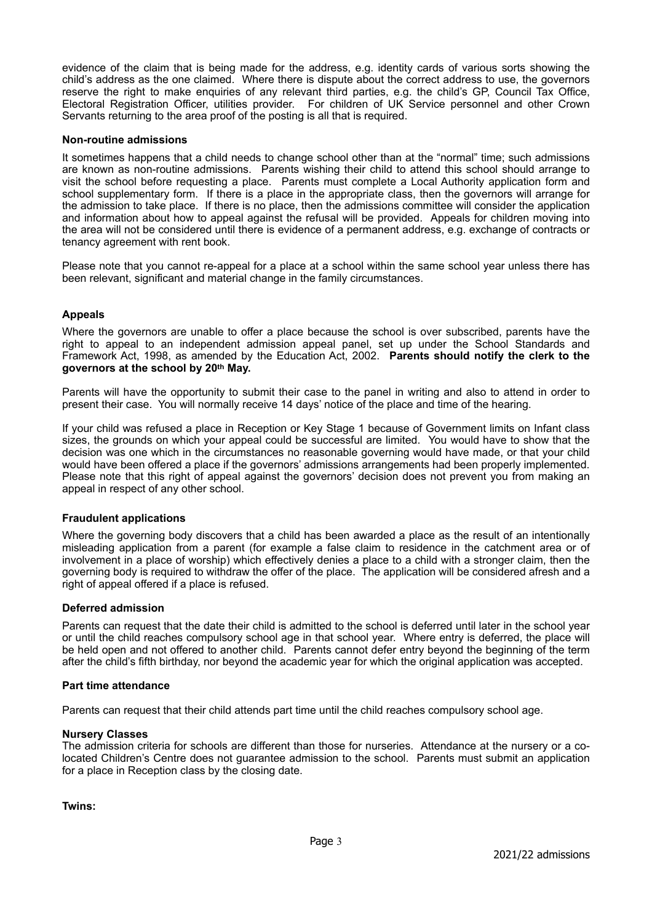evidence of the claim that is being made for the address, e.g. identity cards of various sorts showing the child's address as the one claimed. Where there is dispute about the correct address to use, the governors reserve the right to make enquiries of any relevant third parties, e.g. the child's GP, Council Tax Office, Electoral Registration Officer, utilities provider. For children of UK Service personnel and other Crown Servants returning to the area proof of the posting is all that is required.

#### **Non-routine admissions**

It sometimes happens that a child needs to change school other than at the "normal" time; such admissions are known as non-routine admissions. Parents wishing their child to attend this school should arrange to visit the school before requesting a place. Parents must complete a Local Authority application form and school supplementary form. If there is a place in the appropriate class, then the governors will arrange for the admission to take place. If there is no place, then the admissions committee will consider the application and information about how to appeal against the refusal will be provided. Appeals for children moving into the area will not be considered until there is evidence of a permanent address, e.g. exchange of contracts or tenancy agreement with rent book.

Please note that you cannot re-appeal for a place at a school within the same school year unless there has been relevant, significant and material change in the family circumstances.

## **Appeals**

Where the governors are unable to offer a place because the school is over subscribed, parents have the right to appeal to an independent admission appeal panel, set up under the School Standards and Framework Act, 1998, as amended by the Education Act, 2002. **Parents should notify the clerk to the governors at the school by 20th May.**

Parents will have the opportunity to submit their case to the panel in writing and also to attend in order to present their case. You will normally receive 14 days' notice of the place and time of the hearing.

If your child was refused a place in Reception or Key Stage 1 because of Government limits on Infant class sizes, the grounds on which your appeal could be successful are limited. You would have to show that the decision was one which in the circumstances no reasonable governing would have made, or that your child would have been offered a place if the governors' admissions arrangements had been properly implemented. Please note that this right of appeal against the governors' decision does not prevent you from making an appeal in respect of any other school.

#### **Fraudulent applications**

Where the governing body discovers that a child has been awarded a place as the result of an intentionally misleading application from a parent (for example a false claim to residence in the catchment area or of involvement in a place of worship) which effectively denies a place to a child with a stronger claim, then the governing body is required to withdraw the offer of the place. The application will be considered afresh and a right of appeal offered if a place is refused.

#### **Deferred admission**

Parents can request that the date their child is admitted to the school is deferred until later in the school year or until the child reaches compulsory school age in that school year. Where entry is deferred, the place will be held open and not offered to another child. Parents cannot defer entry beyond the beginning of the term after the child's fifth birthday, nor beyond the academic year for which the original application was accepted.

#### **Part time attendance**

Parents can request that their child attends part time until the child reaches compulsory school age.

#### **Nursery Classes**

The admission criteria for schools are different than those for nurseries. Attendance at the nursery or a colocated Children's Centre does not guarantee admission to the school. Parents must submit an application for a place in Reception class by the closing date.

**Twins:**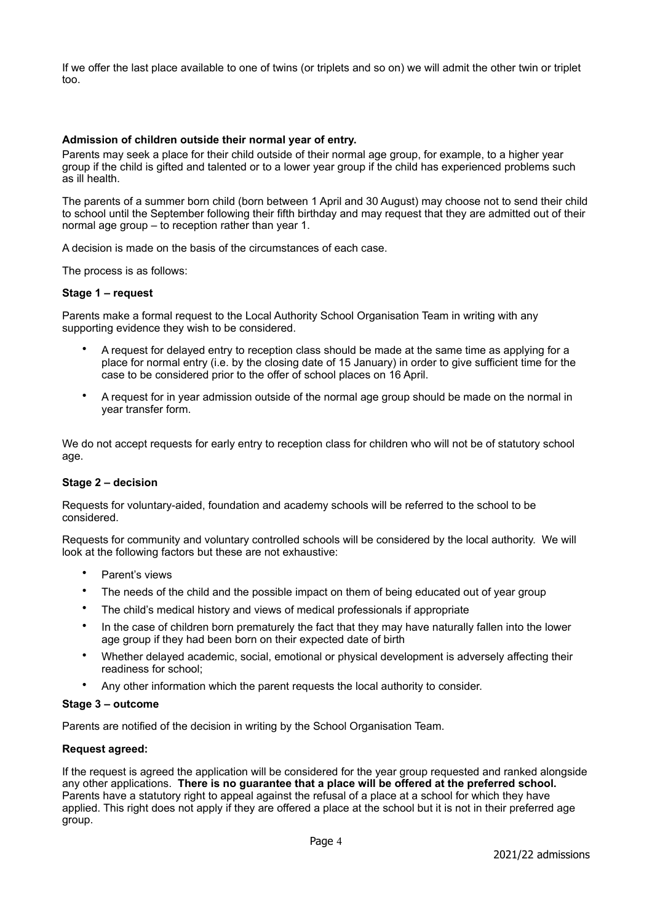If we offer the last place available to one of twins (or triplets and so on) we will admit the other twin or triplet too.

## **Admission of children outside their normal year of entry.**

Parents may seek a place for their child outside of their normal age group, for example, to a higher year group if the child is gifted and talented or to a lower year group if the child has experienced problems such as ill health.

The parents of a summer born child (born between 1 April and 30 August) may choose not to send their child to school until the September following their fifth birthday and may request that they are admitted out of their normal age group – to reception rather than year 1.

A decision is made on the basis of the circumstances of each case.

The process is as follows:

#### **Stage 1 – request**

Parents make a formal request to the Local Authority School Organisation Team in writing with any supporting evidence they wish to be considered.

- A request for delayed entry to reception class should be made at the same time as applying for a place for normal entry (i.e. by the closing date of 15 January) in order to give sufficient time for the case to be considered prior to the offer of school places on 16 April.
- A request for in year admission outside of the normal age group should be made on the normal in year transfer form.

We do not accept requests for early entry to reception class for children who will not be of statutory school age.

#### **Stage 2 – decision**

Requests for voluntary-aided, foundation and academy schools will be referred to the school to be considered.

Requests for community and voluntary controlled schools will be considered by the local authority. We will look at the following factors but these are not exhaustive:

- Parent's views
- The needs of the child and the possible impact on them of being educated out of year group
- The child's medical history and views of medical professionals if appropriate
- In the case of children born prematurely the fact that they may have naturally fallen into the lower age group if they had been born on their expected date of birth
- Whether delayed academic, social, emotional or physical development is adversely affecting their readiness for school;
- Any other information which the parent requests the local authority to consider.

#### **Stage 3 – outcome**

Parents are notified of the decision in writing by the School Organisation Team.

#### **Request agreed:**

If the request is agreed the application will be considered for the year group requested and ranked alongside any other applications. **There is no guarantee that a place will be offered at the preferred school.** Parents have a statutory right to appeal against the refusal of a place at a school for which they have applied. This right does not apply if they are offered a place at the school but it is not in their preferred age group.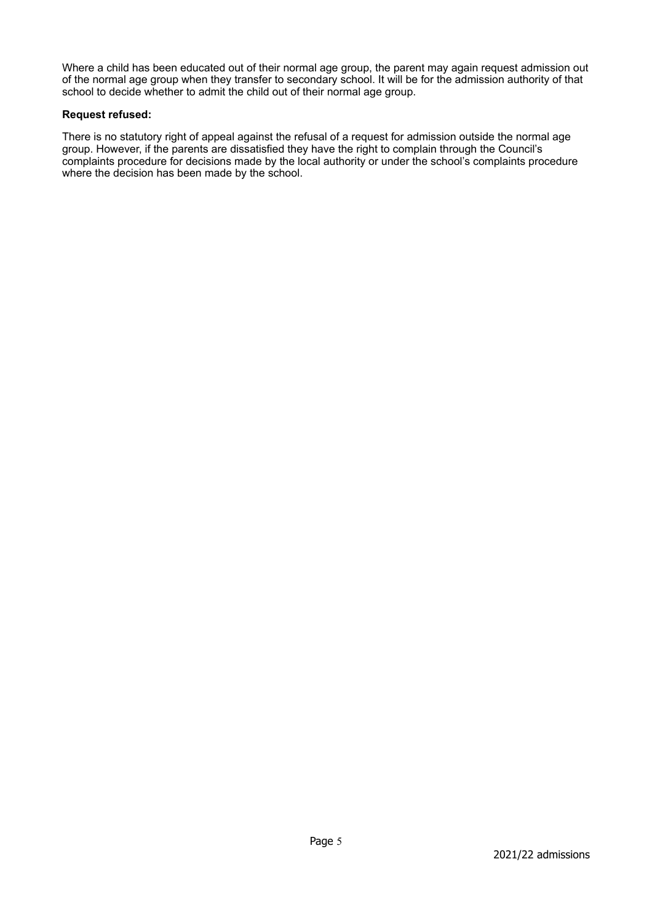Where a child has been educated out of their normal age group, the parent may again request admission out of the normal age group when they transfer to secondary school. It will be for the admission authority of that school to decide whether to admit the child out of their normal age group.

## **Request refused:**

There is no statutory right of appeal against the refusal of a request for admission outside the normal age group. However, if the parents are dissatisfied they have the right to complain through the Council's complaints procedure for decisions made by the local authority or under the school's complaints procedure where the decision has been made by the school.